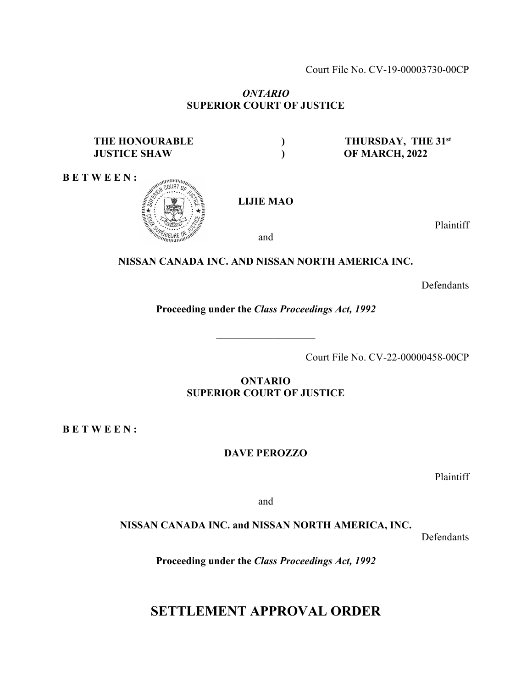Court File No. CV-19-00003730-00CP

## *ONTARIO*  **SUPERIOR COURT OF JUSTICE**

## **THE HONOURABLE ) THURSDAY, THE 31st JUSTICE SHAW ) OF MARCH, 2022**

**B E T W E E N :** 



Plaintiff

and

## **NISSAN CANADA INC. AND NISSAN NORTH AMERICA INC.**

Defendants

**Proceeding under the** *Class Proceedings Act, 1992* 

 $\mathcal{L}_\text{max}$ 

Court File No. CV-22-00000458-00CP

**ONTARIO SUPERIOR COURT OF JUSTICE**

**B E T W E E N :** 

**DAVE PEROZZO** 

Plaintiff

and

**NISSAN CANADA INC. and NISSAN NORTH AMERICA, INC.** 

Defendants

**Proceeding under the** *Class Proceedings Act, 1992* 

## **SETTLEMENT APPROVAL ORDER**

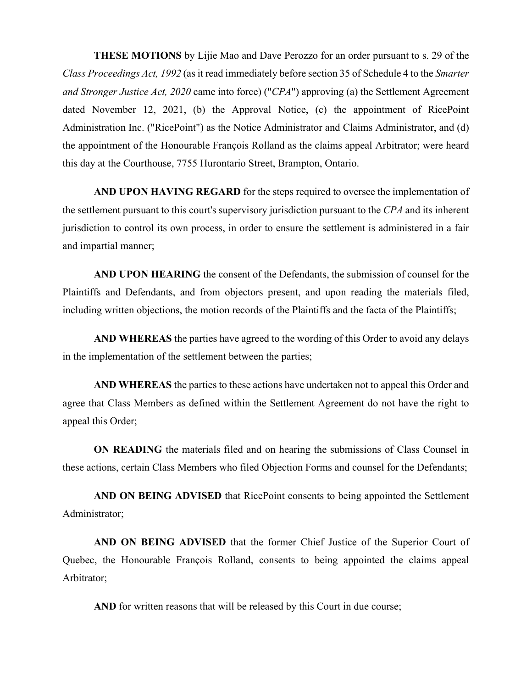**THESE MOTIONS** by Lijie Mao and Dave Perozzo for an order pursuant to s. 29 of the *Class Proceedings Act, 1992* (as it read immediately before section 35 of Schedule 4 to the *Smarter and Stronger Justice Act, 2020* came into force) ("*CPA*") approving (a) the Settlement Agreement dated November 12, 2021, (b) the Approval Notice, (c) the appointment of RicePoint Administration Inc. ("RicePoint") as the Notice Administrator and Claims Administrator, and (d) the appointment of the Honourable François Rolland as the claims appeal Arbitrator; were heard this day at the Courthouse, 7755 Hurontario Street, Brampton, Ontario.

**AND UPON HAVING REGARD** for the steps required to oversee the implementation of the settlement pursuant to this court's supervisory jurisdiction pursuant to the *CPA* and its inherent jurisdiction to control its own process, in order to ensure the settlement is administered in a fair and impartial manner;

**AND UPON HEARING** the consent of the Defendants, the submission of counsel for the Plaintiffs and Defendants, and from objectors present, and upon reading the materials filed, including written objections, the motion records of the Plaintiffs and the facta of the Plaintiffs;

**AND WHEREAS** the parties have agreed to the wording of this Order to avoid any delays in the implementation of the settlement between the parties;

**AND WHEREAS** the parties to these actions have undertaken not to appeal this Order and agree that Class Members as defined within the Settlement Agreement do not have the right to appeal this Order;

**ON READING** the materials filed and on hearing the submissions of Class Counsel in these actions, certain Class Members who filed Objection Forms and counsel for the Defendants;

**AND ON BEING ADVISED** that RicePoint consents to being appointed the Settlement Administrator;

**AND ON BEING ADVISED** that the former Chief Justice of the Superior Court of Quebec, the Honourable François Rolland, consents to being appointed the claims appeal Arbitrator;

AND for written reasons that will be released by this Court in due course;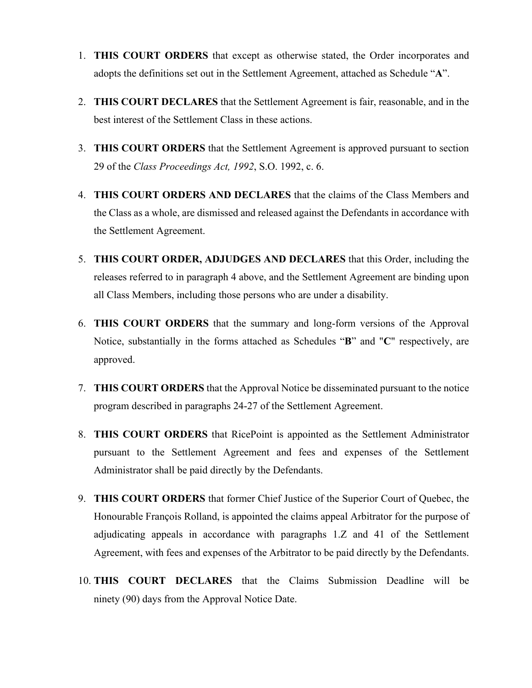- 1. **THIS COURT ORDERS** that except as otherwise stated, the Order incorporates and adopts the definitions set out in the Settlement Agreement, attached as Schedule "**A**".
- 2. **THIS COURT DECLARES** that the Settlement Agreement is fair, reasonable, and in the best interest of the Settlement Class in these actions.
- 3. **THIS COURT ORDERS** that the Settlement Agreement is approved pursuant to section 29 of the *Class Proceedings Act, 1992*, S.O. 1992, c. 6.
- 4. **THIS COURT ORDERS AND DECLARES** that the claims of the Class Members and the Class as a whole, are dismissed and released against the Defendants in accordance with the Settlement Agreement.
- 5. **THIS COURT ORDER, ADJUDGES AND DECLARES** that this Order, including the releases referred to in paragraph 4 above, and the Settlement Agreement are binding upon all Class Members, including those persons who are under a disability.
- 6. **THIS COURT ORDERS** that the summary and long-form versions of the Approval Notice, substantially in the forms attached as Schedules "**B**" and "**C**" respectively, are approved.
- 7. **THIS COURT ORDERS** that the Approval Notice be disseminated pursuant to the notice program described in paragraphs 24-27 of the Settlement Agreement.
- 8. **THIS COURT ORDERS** that RicePoint is appointed as the Settlement Administrator pursuant to the Settlement Agreement and fees and expenses of the Settlement Administrator shall be paid directly by the Defendants.
- 9. **THIS COURT ORDERS** that former Chief Justice of the Superior Court of Quebec, the Honourable François Rolland, is appointed the claims appeal Arbitrator for the purpose of adjudicating appeals in accordance with paragraphs 1.Z and 41 of the Settlement Agreement, with fees and expenses of the Arbitrator to be paid directly by the Defendants.
- 10. **THIS COURT DECLARES** that the Claims Submission Deadline will be ninety (90) days from the Approval Notice Date.